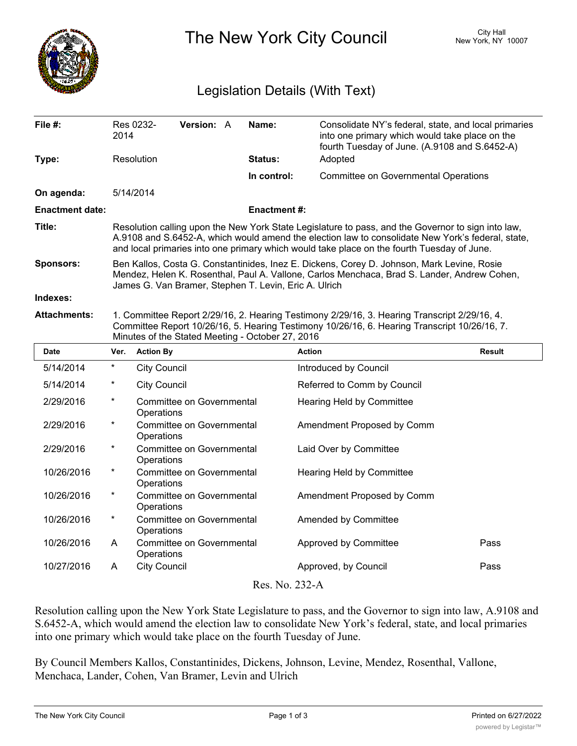

The New York City Council New York, NY 10007

## Legislation Details (With Text)

| File #:                                         | 2014                                                                                                                                                                                                                                                                                                  | Res 0232-                                                             | Version: A                                                                  |  | Name:               | Consolidate NY's federal, state, and local primaries<br>into one primary which would take place on the<br>fourth Tuesday of June. (A.9108 and S.6452-A) |               |  |
|-------------------------------------------------|-------------------------------------------------------------------------------------------------------------------------------------------------------------------------------------------------------------------------------------------------------------------------------------------------------|-----------------------------------------------------------------------|-----------------------------------------------------------------------------|--|---------------------|---------------------------------------------------------------------------------------------------------------------------------------------------------|---------------|--|
| Type:                                           |                                                                                                                                                                                                                                                                                                       | Resolution                                                            |                                                                             |  | Status:             | Adopted                                                                                                                                                 |               |  |
|                                                 |                                                                                                                                                                                                                                                                                                       |                                                                       |                                                                             |  | In control:         | <b>Committee on Governmental Operations</b>                                                                                                             |               |  |
| On agenda:                                      |                                                                                                                                                                                                                                                                                                       | 5/14/2014                                                             |                                                                             |  |                     |                                                                                                                                                         |               |  |
| <b>Enactment date:</b>                          |                                                                                                                                                                                                                                                                                                       |                                                                       |                                                                             |  | <b>Enactment #:</b> |                                                                                                                                                         |               |  |
| Title:                                          | Resolution calling upon the New York State Legislature to pass, and the Governor to sign into law,<br>A.9108 and S.6452-A, which would amend the election law to consolidate New York's federal, state,<br>and local primaries into one primary which would take place on the fourth Tuesday of June. |                                                                       |                                                                             |  |                     |                                                                                                                                                         |               |  |
| <b>Sponsors:</b>                                | Ben Kallos, Costa G. Constantinides, Inez E. Dickens, Corey D. Johnson, Mark Levine, Rosie<br>Mendez, Helen K. Rosenthal, Paul A. Vallone, Carlos Menchaca, Brad S. Lander, Andrew Cohen,<br>James G. Van Bramer, Stephen T. Levin, Eric A. Ulrich                                                    |                                                                       |                                                                             |  |                     |                                                                                                                                                         |               |  |
| Indexes:                                        |                                                                                                                                                                                                                                                                                                       |                                                                       |                                                                             |  |                     |                                                                                                                                                         |               |  |
| <b>Attachments:</b>                             | 1. Committee Report 2/29/16, 2. Hearing Testimony 2/29/16, 3. Hearing Transcript 2/29/16, 4.<br>Committee Report 10/26/16, 5. Hearing Testimony 10/26/16, 6. Hearing Transcript 10/26/16, 7.<br>Minutes of the Stated Meeting - October 27, 2016                                                      |                                                                       |                                                                             |  |                     |                                                                                                                                                         |               |  |
| <b>Date</b>                                     | Ver.                                                                                                                                                                                                                                                                                                  | <b>Action By</b>                                                      |                                                                             |  |                     | <b>Action</b>                                                                                                                                           | <b>Result</b> |  |
| 5/14/2014                                       | $\star$                                                                                                                                                                                                                                                                                               | <b>City Council</b>                                                   |                                                                             |  |                     | Introduced by Council                                                                                                                                   |               |  |
| 5/14/2014                                       | $\ast$                                                                                                                                                                                                                                                                                                | <b>City Council</b>                                                   |                                                                             |  |                     | Referred to Comm by Council                                                                                                                             |               |  |
| 2/29/2016                                       | $^\star$                                                                                                                                                                                                                                                                                              |                                                                       | <b>Committee on Governmental</b><br>Hearing Held by Committee<br>Operations |  |                     |                                                                                                                                                         |               |  |
| 2/29/2016                                       | $^\star$                                                                                                                                                                                                                                                                                              | Committee on Governmental<br>Amendment Proposed by Comm<br>Operations |                                                                             |  |                     |                                                                                                                                                         |               |  |
| 2/29/2016                                       | $\star$                                                                                                                                                                                                                                                                                               |                                                                       | <b>Committee on Governmental</b><br>Laid Over by Committee<br>Operations    |  |                     |                                                                                                                                                         |               |  |
| 10/26/2016                                      | $\star$                                                                                                                                                                                                                                                                                               |                                                                       | Committee on Governmental<br>Hearing Held by Committee<br>Operations        |  |                     |                                                                                                                                                         |               |  |
| 10/26/2016                                      | $^\star$                                                                                                                                                                                                                                                                                              | Committee on Governmental<br>Amendment Proposed by Comm<br>Operations |                                                                             |  |                     |                                                                                                                                                         |               |  |
| 10/26/2016                                      | $^\star$                                                                                                                                                                                                                                                                                              | Operations                                                            | <b>Committee on Governmental</b>                                            |  |                     | Amended by Committee                                                                                                                                    |               |  |
| 10/26/2016                                      | A                                                                                                                                                                                                                                                                                                     | <b>Committee on Governmental</b><br>Operations                        |                                                                             |  |                     | Approved by Committee                                                                                                                                   | Pass          |  |
| 10/27/2016                                      | A                                                                                                                                                                                                                                                                                                     | <b>City Council</b>                                                   |                                                                             |  |                     | Approved, by Council                                                                                                                                    | Pass          |  |
| $D_{\text{max}}$ $N_{\text{max}}$ 000 $\Lambda$ |                                                                                                                                                                                                                                                                                                       |                                                                       |                                                                             |  |                     |                                                                                                                                                         |               |  |

Res. No. 232-A

Resolution calling upon the New York State Legislature to pass, and the Governor to sign into law, A.9108 and S.6452-A, which would amend the election law to consolidate New York's federal, state, and local primaries into one primary which would take place on the fourth Tuesday of June.

By Council Members Kallos, Constantinides, Dickens, Johnson, Levine, Mendez, Rosenthal, Vallone, Menchaca, Lander, Cohen, Van Bramer, Levin and Ulrich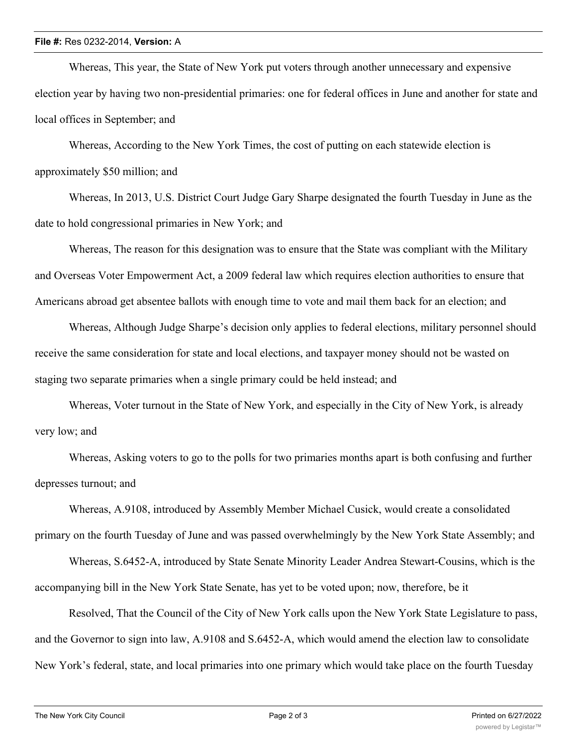## **File #:** Res 0232-2014, **Version:** A

Whereas, This year, the State of New York put voters through another unnecessary and expensive election year by having two non-presidential primaries: one for federal offices in June and another for state and local offices in September; and

Whereas, According to the New York Times, the cost of putting on each statewide election is approximately \$50 million; and

Whereas, In 2013, U.S. District Court Judge Gary Sharpe designated the fourth Tuesday in June as the date to hold congressional primaries in New York; and

Whereas, The reason for this designation was to ensure that the State was compliant with the Military and Overseas Voter Empowerment Act, a 2009 federal law which requires election authorities to ensure that Americans abroad get absentee ballots with enough time to vote and mail them back for an election; and

Whereas, Although Judge Sharpe's decision only applies to federal elections, military personnel should receive the same consideration for state and local elections, and taxpayer money should not be wasted on staging two separate primaries when a single primary could be held instead; and

Whereas, Voter turnout in the State of New York, and especially in the City of New York, is already very low; and

Whereas, Asking voters to go to the polls for two primaries months apart is both confusing and further depresses turnout; and

Whereas, A.9108, introduced by Assembly Member Michael Cusick, would create a consolidated primary on the fourth Tuesday of June and was passed overwhelmingly by the New York State Assembly; and

Whereas, S.6452-A, introduced by State Senate Minority Leader Andrea Stewart-Cousins, which is the accompanying bill in the New York State Senate, has yet to be voted upon; now, therefore, be it

Resolved, That the Council of the City of New York calls upon the New York State Legislature to pass, and the Governor to sign into law, A.9108 and S.6452-A, which would amend the election law to consolidate New York's federal, state, and local primaries into one primary which would take place on the fourth Tuesday